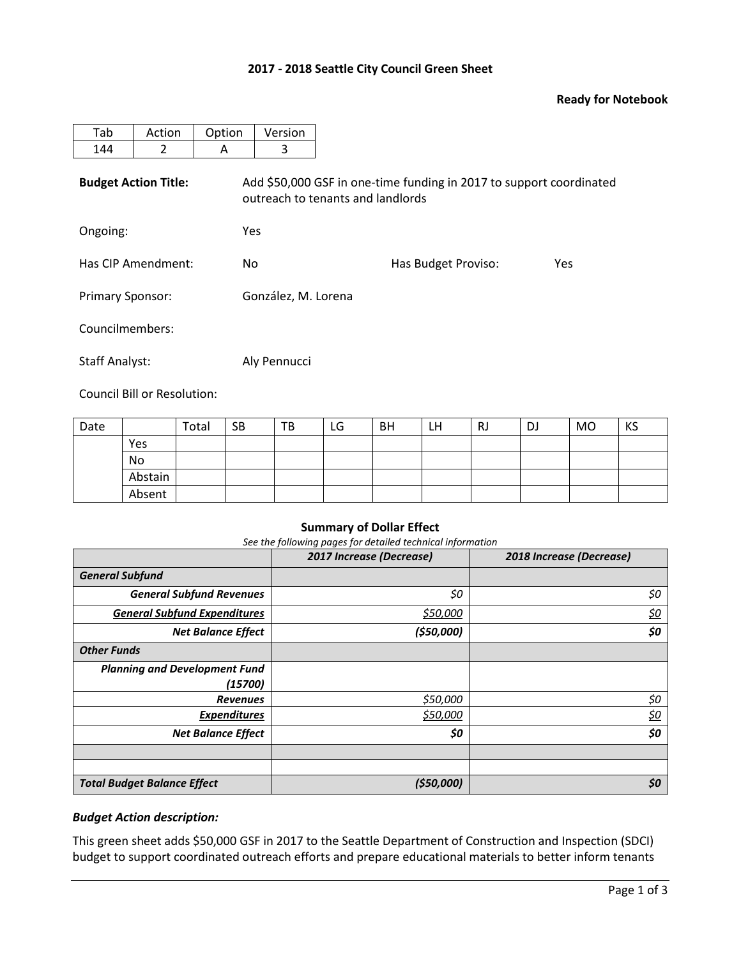# **2017 - 2018 Seattle City Council Green Sheet**

### **Ready for Notebook**

| Tab                         | Action | Option     | Version                                                                                                  |                     |     |  |  |  |  |
|-----------------------------|--------|------------|----------------------------------------------------------------------------------------------------------|---------------------|-----|--|--|--|--|
| 144                         | 2      | A          | 3                                                                                                        |                     |     |  |  |  |  |
| <b>Budget Action Title:</b> |        |            | Add \$50,000 GSF in one-time funding in 2017 to support coordinated<br>outreach to tenants and landlords |                     |     |  |  |  |  |
| Ongoing:                    |        | <b>Yes</b> |                                                                                                          |                     |     |  |  |  |  |
| Has CIP Amendment:          |        | No         |                                                                                                          | Has Budget Proviso: | Yes |  |  |  |  |
| <b>Primary Sponsor:</b>     |        |            | González, M. Lorena                                                                                      |                     |     |  |  |  |  |
| Councilmembers:             |        |            |                                                                                                          |                     |     |  |  |  |  |
| <b>Staff Analyst:</b>       |        |            | Aly Pennucci                                                                                             |                     |     |  |  |  |  |

Council Bill or Resolution:

| Date |         | Total | <b>SB</b> | TB | LG | <b>BH</b> | LH | RJ | DJ | <b>MO</b> | KS |
|------|---------|-------|-----------|----|----|-----------|----|----|----|-----------|----|
|      | Yes     |       |           |    |    |           |    |    |    |           |    |
|      | No      |       |           |    |    |           |    |    |    |           |    |
|      | Abstain |       |           |    |    |           |    |    |    |           |    |
|      | Absent  |       |           |    |    |           |    |    |    |           |    |

### **Summary of Dollar Effect**

*See the following pages for detailed technical information*

|                                      | 2017 Increase (Decrease) | 2018 Increase (Decrease) |
|--------------------------------------|--------------------------|--------------------------|
| <b>General Subfund</b>               |                          |                          |
| <b>General Subfund Revenues</b>      | \$0                      | \$0                      |
| <b>General Subfund Expenditures</b>  | \$50,000                 | <u>\$0</u>               |
| <b>Net Balance Effect</b>            | (\$50,000)               | \$0                      |
| <b>Other Funds</b>                   |                          |                          |
| <b>Planning and Development Fund</b> |                          |                          |
| (15700)                              |                          |                          |
| <b>Revenues</b>                      | \$50,000                 | \$0                      |
| <b>Expenditures</b>                  | \$50,000                 | <u>\$0</u>               |
| <b>Net Balance Effect</b>            | \$0                      | \$0                      |
|                                      |                          |                          |
|                                      |                          |                          |
| <b>Total Budget Balance Effect</b>   | (550,000)                | \$0                      |

### *Budget Action description:*

This green sheet adds \$50,000 GSF in 2017 to the Seattle Department of Construction and Inspection (SDCI) budget to support coordinated outreach efforts and prepare educational materials to better inform tenants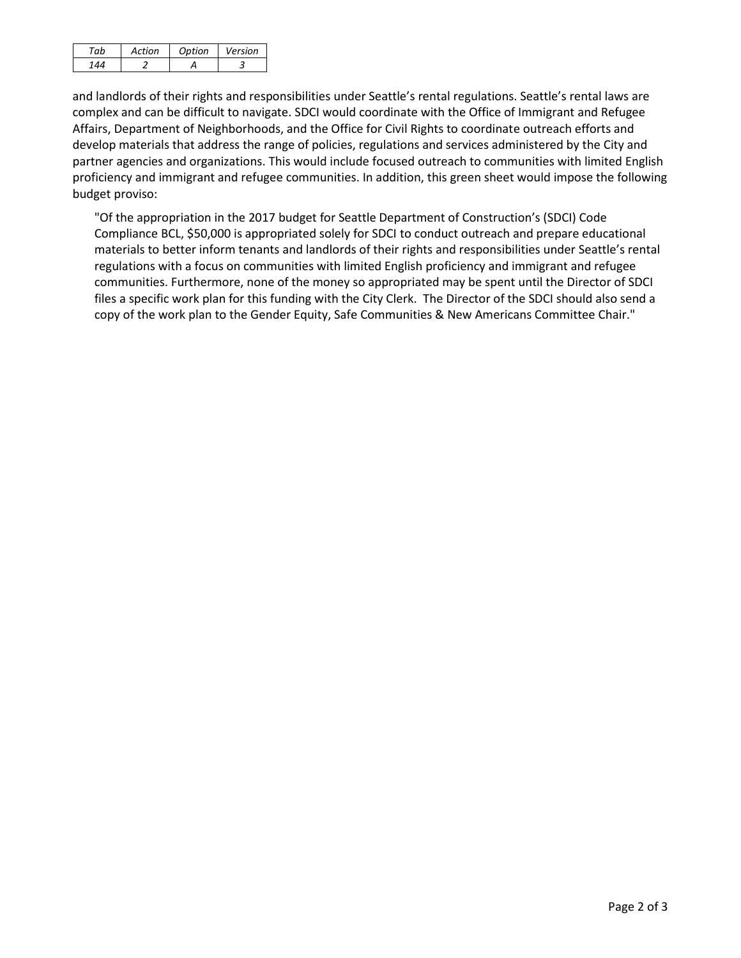| Artion | Ontion | Version |
|--------|--------|---------|
|        |        |         |

and landlords of their rights and responsibilities under Seattle's rental regulations. Seattle's rental laws are complex and can be difficult to navigate. SDCI would coordinate with the Office of Immigrant and Refugee Affairs, Department of Neighborhoods, and the Office for Civil Rights to coordinate outreach efforts and develop materials that address the range of policies, regulations and services administered by the City and partner agencies and organizations. This would include focused outreach to communities with limited English proficiency and immigrant and refugee communities. In addition, this green sheet would impose the following budget proviso:

"Of the appropriation in the 2017 budget for Seattle Department of Construction's (SDCI) Code Compliance BCL, \$50,000 is appropriated solely for SDCI to conduct outreach and prepare educational materials to better inform tenants and landlords of their rights and responsibilities under Seattle's rental regulations with a focus on communities with limited English proficiency and immigrant and refugee communities. Furthermore, none of the money so appropriated may be spent until the Director of SDCI files a specific work plan for this funding with the City Clerk. The Director of the SDCI should also send a copy of the work plan to the Gender Equity, Safe Communities & New Americans Committee Chair."